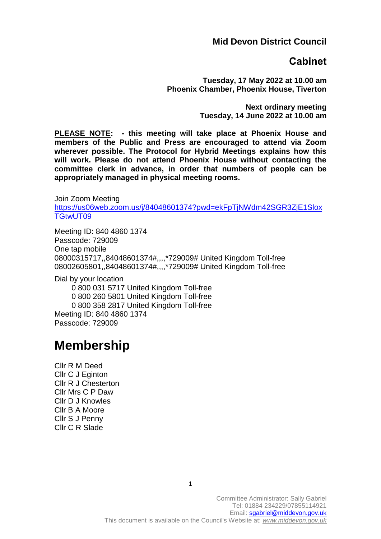### **Mid Devon District Council**

### **Cabinet**

**Tuesday, 17 May 2022 at 10.00 am Phoenix Chamber, Phoenix House, Tiverton**

> **Next ordinary meeting Tuesday, 14 June 2022 at 10.00 am**

**PLEASE NOTE: - this meeting will take place at Phoenix House and members of the Public and Press are encouraged to attend via Zoom wherever possible. The Protocol for Hybrid Meetings explains how this will work. Please do not attend Phoenix House without contacting the committee clerk in advance, in order that numbers of people can be appropriately managed in physical meeting rooms.** 

Join Zoom Meeting https://us06web.zoom.us/i/84048601374?pwd=ekFpTiNWdm42SGR3ZiE1Slox [TGtwUT09](https://us06web.zoom.us/j/84048601374?pwd=ekFpTjNWdm42SGR3ZjE1SloxTGtwUT09)

Meeting ID: 840 4860 1374 Passcode: 729009 One tap mobile 08000315717,,84048601374#,,,,\*729009# United Kingdom Toll-free 08002605801,,84048601374#,,,,\*729009# United Kingdom Toll-free

Dial by your location

 0 800 031 5717 United Kingdom Toll-free 0 800 260 5801 United Kingdom Toll-free 0 800 358 2817 United Kingdom Toll-free Meeting ID: 840 4860 1374 Passcode: 729009

# **Membership**

Cllr R M Deed Cllr C J Eginton Cllr R J Chesterton Cllr Mrs C P Daw Cllr D J Knowles Cllr B A Moore Cllr S J Penny Cllr C R Slade

> Committee Administrator: Sally Gabriel Tel: 01884 234229/07855114921 Email: sgabriel@middevon.gov.uk This document is available on the Council's Website at: *[www.middevon.gov.uk](http://www.middevon.gov.uk/)*

1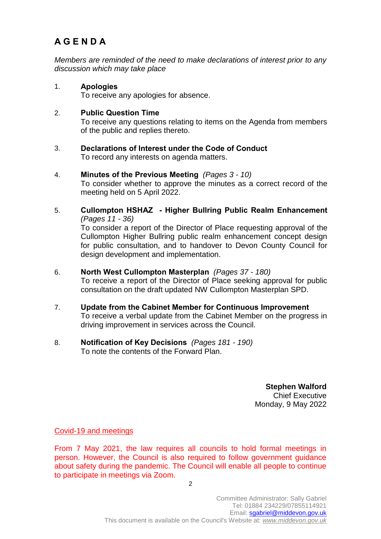## **A G E N D A**

*Members are reminded of the need to make declarations of interest prior to any discussion which may take place*

1. **Apologies**  To receive any apologies for absence.

#### 2. **Public Question Time**

To receive any questions relating to items on the Agenda from members of the public and replies thereto.

- 3. **Declarations of Interest under the Code of Conduct**  To record any interests on agenda matters.
- 4. **Minutes of the Previous Meeting** *(Pages 3 - 10)*

To consider whether to approve the minutes as a correct record of the meeting held on 5 April 2022.

- 5. **Cullompton HSHAZ - Higher Bullring Public Realm Enhancement**  *(Pages 11 - 36)* To consider a report of the Director of Place requesting approval of the Cullompton Higher Bullring public realm enhancement concept design for public consultation, and to handover to Devon County Council for design development and implementation.
- 6. **North West Cullompton Masterplan** *(Pages 37 - 180)* To receive a report of the Director of Place seeking approval for public consultation on the draft updated NW Cullompton Masterplan SPD.
- 7. **Update from the Cabinet Member for Continuous Improvement**  To receive a verbal update from the Cabinet Member on the progress in driving improvement in services across the Council.
- 8. **Notification of Key Decisions** *(Pages 181 - 190)* To note the contents of the Forward Plan.

**Stephen Walford** Chief Executive Monday, 9 May 2022

Covid-19 and meetings

From 7 May 2021, the law requires all councils to hold formal meetings in person. However, the Council is also required to follow government guidance about safety during the pandemic. The Council will enable all people to continue to participate in meetings via Zoom.